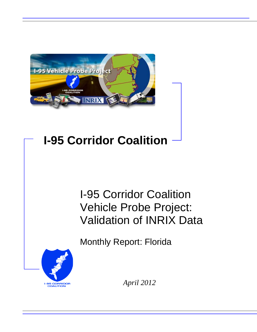

# **I-95 Corridor Coalition**

# I-95 Corridor Coalition Vehicle Probe Project: Validation of INRIX Data

Monthly Report: Florida



*April 2012*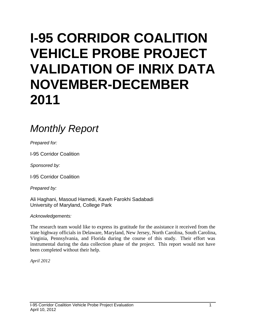# **I-95 CORRIDOR COALITION VEHICLE PROBE PROJECT VALIDATION OF INRIX DATA NOVEMBER-DECEMBER 2011**

## *Monthly Report*

*Prepared for:*

I-95 Corridor Coalition

*Sponsored by:*

I-95 Corridor Coalition

*Prepared by:*

Ali Haghani, Masoud Hamedi, Kaveh Farokhi Sadabadi University of Maryland, College Park

*Acknowledgements:*

The research team would like to express its gratitude for the assistance it received from the state highway officials in Delaware, Maryland, New Jersey, North Carolina, South Carolina, Virginia, Pennsylvania, and Florida during the course of this study. Their effort was instrumental during the data collection phase of the project. This report would not have been completed without their help.

*April 2012*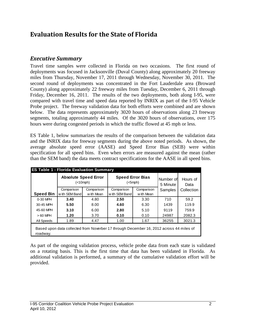### **Evaluation Results for the State of Florida**

#### *Executive Summary*

Travel time samples were collected in Florida on two occasions. The first round of deployments was focused in Jacksonville (Duval County) along approximately 20 freeway miles from Thursday, November 17, 2011 through Wednesday, November 30, 2011. The second round of deployments was concentrated in the Fort Lauderdale area (Broward County) along approximately 22 freeway miles from Tuesday, December 6, 2011 through Friday, December 16, 2011. The results of the two deployments, both along I-95, were compared with travel time and speed data reported by INRIX as part of the I-95 Vehicle Probe project. The freeway validation data for both efforts were combined and are shown below. The data represents approximately 3020 hours of observations along 23 freeway segments, totaling approximately 44 miles. Of the 3020 hours of observations, over 175 hours were during congested periods in which the traffic flowed at 45 mph or less.

ES Table 1, below summarizes the results of the comparison between the validation data and the INRIX data for freeway segments during the above noted periods. As shown, the average absolute speed error (AASE) and Speed Error Bias (SEB) were within specification for all speed bins. Even when errors are measured against the mean (rather than the SEM band) the data meets contract specifications for the AASE in all speed bins.

|                  | <b>Absolute Speed Error</b><br>(<10 mph)                                                |            | <b>Speed Error Bias</b><br>$(<5$ mph $)$ |            | Number of<br>5 Minute | Hours of<br>Data |
|------------------|-----------------------------------------------------------------------------------------|------------|------------------------------------------|------------|-----------------------|------------------|
|                  | Comparison                                                                              | Comparison | Comparison                               | Comparison | Samples               | Collection       |
| <b>Speed Bin</b> | with SEM Band                                                                           | with Mean  | with SEM Band                            | w ith Mean |                       |                  |
| 0-30 MPH         | 3.40                                                                                    | 4.80       | 2.50                                     | 3.30       | 710                   | 59.2             |
| 30-45 MPH        | 5.50                                                                                    | 8.00       | 4.60                                     | 6.30       | 1439                  | 119.9            |
| 45-60 MPH        | 3.10                                                                                    | 6.00       | 2.80                                     | 5.10       | 9119                  | 759.9            |
| $>60$ MPH        | 1.20                                                                                    | 3.70       | 0.10                                     | 0.10       | 24987                 | 2082.3           |
| All Speeds       | 1.89                                                                                    | 4.47       | 1.00                                     | 1.67       | 36255                 | 3021.3           |
| roadway.         | Based upon data collected from Noverber 17 through December 16, 2012 across 44 miles of |            |                                          |            |                       |                  |

As part of the ongoing validation process, vehicle probe data from each state is validated on a rotating basis. This is the first time that data has been validated in Florida. As additional validation is performed, a summary of the cumulative validation effort will be provided.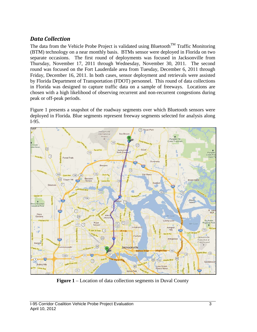#### *Data Collection*

The data from the Vehicle Probe Project is validated using Bluetooth<sup>TM</sup> Traffic Monitoring (BTM) technology on a near monthly basis. BTMs sensor were deployed in Florida on two separate occasions. The first round of deployments was focused in Jacksonville from Thursday, November 17, 2011 through Wednesday, November 30, 2011. The second round was focused on the Fort Lauderdale area from Tuesday, December 6, 2011 through Friday, December 16, 2011. In both cases, sensor deployment and retrievals were assisted by Florida Department of Transportation (FDOT) personnel. This round of data collections in Florida was designed to capture traffic data on a sample of freeways. Locations are chosen with a high likelihood of observing recurrent and non-recurrent congestions during peak or off-peak periods.

Figure 1 presents a snapshot of the roadway segments over which Bluetooth sensors were deployed in Florida. Blue segments represent freeway segments selected for analysis along I-95.



**Figure 1** – Location of data collection segments in Duval County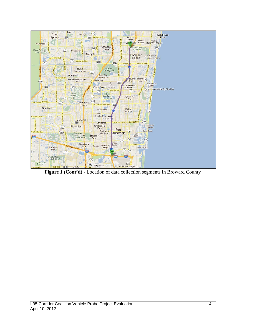

**Figure 1 (Cont'd)** - Location of data collection segments in Broward County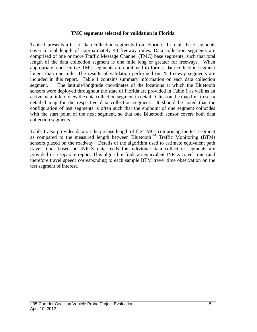#### **TMC segments selected for validation in Florida**

Table 1 presents a list of data collection segments from Florida. In total, these segments cover a total length of approximately 43 freeway miles. Data collection segments are comprised of one or more Traffic Message Channel (TMC) base segments, such that total length of the data collection segment is one mile long or greater for freeways. When appropriate, consecutive TMC segments are combined to form a data collection segment longer than one mile. The results of validation performed on 25 freeway segments are included in this report. Table 1 contains summary information on each data collection segment. The latitude/longitude coordinates of the locations at which the Bluetooth sensors were deployed throughout the state of Florida are provided in Table 1 as well as an active map link to view the data collection segment in detail. Click on the map link to see a detailed map for the respective data collection segment. It should be noted that the configuration of test segments is often such that the endpoint of one segment coincides with the start point of the next segment, so that one Bluetooth sensor covers both data collection segments.

Table 1 also provides data on the precise length of the TMCs comprising the test segment as compared to the measured length between Bluetooth<sup>TM</sup> Traffic Monitoring (BTM) sensors placed on the roadway. Details of the algorithm used to estimate equivalent path travel times based on INRIX data feeds for individual data collection segments are provided in a separate report. This algorithm finds an equivalent INRIX travel time (and therefore travel speed) corresponding to each sample BTM travel time observation on the test segment of interest.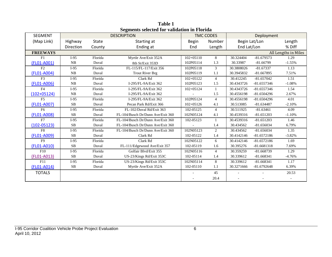| <b>SEGMENT</b>  |            |              | <b>DESCRIPTION</b>                |               | <b>TMC CODES</b> |             | Deployment    |                      |
|-----------------|------------|--------------|-----------------------------------|---------------|------------------|-------------|---------------|----------------------|
| (Map Link)      | Highway    | <b>State</b> | Starting at                       | <b>Begin</b>  | Number           |             | Begin Lat/Lon | Length               |
|                 | Direction  | County       | Ending at                         | End           | Length           | End Lat/Lon |               | % Diff               |
| <b>FREEWAYS</b> |            |              |                                   |               |                  |             |               | All Lengths in Miles |
| F1              | $I-95$     | Florida      | Myrtle Ave/Exit 352A              | $102 + 05110$ | 8                | 30.324404   | $-81.679573$  | 1.29                 |
| (FL01-A001)     | NB         | Duval        | 8th St/Exit 353D                  | 102P05114     | 1.3              | 30.33987    | $-81.66799$   | $-1.55%$             |
| F2              | $I-95$     | Florida      | FL-115/FL-117/Exit 356            | 102P05118     | 3                | 30.3808026  | $-81.67337$   | 1.13                 |
| (FL01-A004)     | NB         | Duval        | <b>Trout River Brg</b>            | 102P05119     | 1.1              | 30.3945832  | $-81.667895$  | 7.51%                |
| F <sub>3</sub>  | $I-95$     | Florida      | Clark Rd                          | $102 + 05122$ | $\overline{4}$   | 30.412245   | $-81.657042$  | 1.51                 |
| (FL01-A006)     | NB         | Duval        | I-295/FL-9A/Exit 362              | 102P05123     | 1.5              | 30.4343726  | $-81.6557346$ | $-1.08%$             |
| F <sub>4</sub>  | $I-95$     | Florida      | I-295/FL-9A/Exit 362              | 102+05124     | $\mathbf{1}$     | 30.4343726  | $-81.6557346$ | 1.54                 |
| $(102+05124)$   | NB         | Duval        | I-295/FL-9A/Exit 362              |               | 1.5              | 30.4556198  | $-81.6504296$ | 2.67%                |
| F <sub>5</sub>  | $I-95$     | Florida      | I-295/FL-9A/Exit 362              | 102P05124     | $\overline{4}$   | 30.4556198  | $-81.6504296$ | 4.01                 |
| (FL01-A007)     | SB         | Duval        | Pecan Park Rd/Exit 366            | $102 + 05126$ | 4.1              | 30.513085   | $-81.634487$  | $-2.10%$             |
| F <sub>6</sub>  | $I-95$     | Florida      | FL-102/Duval Rd/Exit 363          | 102-05125     | $\overline{4}$   | 30.511925   | $-81.63461$   | 4.09                 |
| (FL01-A008)     | SB         | Duval        | FL-104/Busch Dr/Dunn Ave/Exit 360 | 102N05124     | 4.1              | 30.4539316  | $-81.651203$  | $-1.10%$             |
| F7              | $I-95$     | Florida      | FL-104/Busch Dr/Dunn Ave/Exit 360 | 102-05123     | $\mathbf{1}$     | 30.4539316  | $-81.651203$  | 1.46                 |
| $(102 - 05123)$ | SB         | Duval        | FL-104/Busch Dr/Dunn Ave/Exit 360 |               | 1.4              | 30.434562   | $-81.656034$  | 6.79%                |
| F8              | $I-95$     | Florida      | FL-104/Busch Dr/Dunn Ave/Exit 360 | 102N05123     | 2                | 30.434562   | $-81.656034$  | 1.35                 |
| (FL01-A009)     | SB         | Duval        | Clark Rd                          | 102-05122     | 1.4              | 30.4142146  | $-81.6572186$ | $-3.82%$             |
| F <sub>9</sub>  | $I-95$     | Florida      | Clark Rd                          | 102N05122     | 6                | 30.4142146  | $-81.6572186$ | 1.69                 |
| (FL01-A010)     | SB         | Duval        | FL-111/Edgewood Ave/Exit 357      | 102-05119     | 1.6              | 30.395276   | $-81.6681318$ | 7.69%                |
| F10             | $I-95$     | Florida      | Golfair Blvd/Exit 355             | 102N05116     | $\overline{4}$   | 30.359259   | $-81.668739$  | 1.29                 |
| (FL01-A013)     | SB         | Duval        | US-23/Kings Rd/Exit 353C          | 102-05114     | 1.4              | 30.339612   | $-81.668341$  | $-4.76%$             |
| F11             | $I-95$     | Florida      | US-23/Kings Rd/Exit 353C          | 102N05114     | 8                | 30.339612   | $-81.668341$  | 1.17                 |
| (FL01-A014)     | ${\bf SB}$ | Duval        | Myrtle Ave/Exit 352A              | 102-05110     | 1.1              | 30.3271666  | $-81.6792648$ | 6.39%                |
| <b>TOTALS</b>   |            |              |                                   |               | 45               |             |               | 20.53                |
|                 |            |              |                                   |               | 20.4             |             |               |                      |

**Table 1 Segments selected for validation in Florida**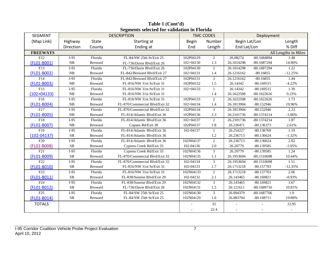| <b>SEGMENT</b>   |           |                | <b>DESCRIPTION</b>             |               | <b>TMC CODES</b> |               | Deployment    |                      |
|------------------|-----------|----------------|--------------------------------|---------------|------------------|---------------|---------------|----------------------|
| (Map Link)       | Highway   | <b>State</b>   | Starting at                    | <b>Begin</b>  | Number           | Begin Lat/Lon |               | Length               |
|                  | Direction | County         | Ending at                      | End           | Length           | End Lat/Lon   |               | % Diff               |
| <b>FREEWAYS</b>  |           |                |                                |               |                  |               |               | All Lengths in Miles |
| F12              | $I-95$    | Florida        | FL-84/SW 25th St/Exit 25       | 102P04129     | $\overline{2}$   | 26.08274      | $-80.1684894$ | 1.48                 |
| (FL01-B001)      | NB        | <b>Broward</b> | FL-736/Davie Blvd/Exit 26      | $102 + 04130$ | 1.3              | 26.1014298    | $-80.1687294$ | 14.90%               |
| F13              | $I-95$    | Florida        | FL-736/Davie Blvd/Exit 26      | 102P04130     | $\overline{2}$   | 26.1014298    | $-80.1687294$ | 1.22                 |
| (FL01-B002)      | NB        | <b>Broward</b> | FL-842/Broward Blvd/Exit 27    | $102 + 04131$ | 1.4              | 26.1216162    | $-80.16855$   | $-12.25%$            |
| $\overline{F14}$ | $I-95$    | Florida        | FL-842/Broward Blvd/Exit 27    | 102P04131     | $\overline{3}$   | 26.1216162    | $-80.16855$   | 1.44                 |
| (FL01-B003)      | NB        | <b>Broward</b> | FL-816/NW 31st St/Exit 31      | 102P04132     | 1.5              | 26.14342      | $-80.169515$  | $-4.22%$             |
| F15              | $I-95$    | Florida        | FL-816/NW 31st St/Exit 31      | $102 + 04133$ | $\mathbf{1}$     | 26.14342      | $-80.169515$  | 1.39                 |
| $(102+04133)$    | NB        | <b>Broward</b> | FL-816/NW 31st St/Exit 31      |               | 1.4              | 26.1622508    | $-80.1622626$ | 0.23%                |
| F16              | $I-95$    | Florida        | FL-816/NW 31st St/Exit 31      | 102P04133     | $\overline{c}$   | 26.1622508    | $-80.1622626$ | 1.73                 |
| (FL01-B004)      | NB        | <b>Broward</b> | FL-870/Commercial Blvd/Exit 32 | $102 + 04134$ | 1.4              | 26.1813904    | $-80.152946$  | 19.96%               |
| F17              | $I-95$    | Florida        | FL-870/Commercial Blvd/Exit 32 | 102P04134     | 3                | 26.1813904    | $-80.152946$  | 2.23                 |
| (FL01-B005)      | NB        | <b>Broward</b> | FL-814/Atlantic Blvd/Exit 36   | 102P04136     | 2.3              | 26.2101736    | $-80.1374214$ | $-3.06%$             |
| F18              | $I-95$    | Florida        | FL-814/Atlantic Blvd/Exit 36   | $102 + 04137$ | $\overline{2}$   | 26.2101736    | $-80.1374214$ | 1.87                 |
| (FL01-B007)      | NB        | <b>Broward</b> | Copans Rd/Exit 38              | 102P04137     | 1.8              | 26.236471     | $-80.136373$  | 2.61%                |
| F19              | $I-95$    | Florida        | FL-814/Atlantic Blvd/Exit 36   | 102-04137     | -1               | 26.254227     | $-80.136769$  | 1.19                 |
| $(102 - 04137)$  | SB        | <b>Broward</b> | FL-814/Atlantic Blvd/Exit 36   |               | 1.2              | 26.236713     | $-80.136624$  | $-1.32%$             |
| F20              | $I-95$    | Florida        | FL-814/Atlantic Blvd/Exit 36   | 102N04137     | $\overline{2}$   | 26.236713     | $-80.136624$  | 2.02                 |
| (FL01-B008)      | <b>SB</b> | <b>Broward</b> | Cypress Creek Rd/Exit 33       | 102-04136     | 2.0              | 26.20779      | $-80.139585$  | $-1.05%$             |
| F21              | $I-95$    | Florida        | Cypress Creek Rd/Exit 33       | 102N04136     | $\overline{3}$   | 26.20779      | $-80.139585$  | 1.24                 |
| (FL01-B009)      | SB        | <b>Broward</b> | FL-870/Commercial Blvd/Exit 32 | 102N04135     | 1.1              | 26.1953694    | $-80.1510698$ | 10.44%               |
| F <sub>22</sub>  | $I-95$    | Florida        | FL-870/Commercial Blvd/Exit 32 | 102-04134     | 3                | 26.1953694    | -80.1510698   | 1.51                 |
| (FL01-B010)      | SB        | <b>Broward</b> | FL-816/NW 31st St/Exit 31      | 102-04133     | 1.7              | 26.1713218    | $-80.157703$  | $-12.35%$            |
| F23              | $I-95$    | Florida        | FL-816/NW 31st St/Exit 31      | 102N04133     | $\overline{c}$   | 26.1713218    | $-80.157703$  | 2.06                 |
| (FL01-B011)      | <b>SB</b> | <b>Broward</b> | FL-838/Sunrise Blvd/Exit 29    | 102-04132     | 2.1              | 26.143465     | $-80.169821$  | $-0.93%$             |
| F <sub>24</sub>  | $I-95$    | Florida        | FL-838/Sunrise Blvd/Exit 29    | 102N04132     | 3                | 26.143465     | $-80.169821$  | 1.67                 |
| (FL01-B012)      | SB        | <b>Broward</b> | FL-736/Davie Blvd/Exit 26      | 102N04131     | 1.5              | 26.121611     | $-80.1689716$ | 10.81%               |
| F25              | $I-95$    | Florida        | FL-84/SW 25th St/Exit 25       | 102N04130     | 3                | 26.094379     | $-80.1687766$ | $\overline{1.9}$     |
| (FL01-B014)      | <b>SB</b> | <b>Broward</b> | FL-84/SW 25th St/Exit 25       | 102N04129     | 1.6              | 26.083794     | $-80.168711$  | 19.88%               |
| <b>TOTALS</b>    |           |                |                                |               | 32               |               |               | 22.95                |
|                  |           |                |                                |               | 22.4             |               |               |                      |

**Table 1 (Cont'd) Segments selected for validation in Florida**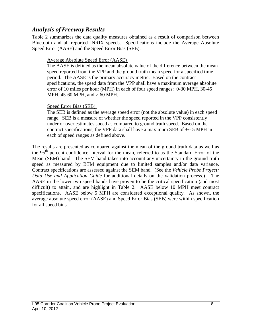#### *Analysis of Freeway Results*

Table 2 summarizes the data quality measures obtained as a result of comparison between Bluetooth and all reported INRIX speeds. Specifications include the Average Absolute Speed Error (AASE) and the Speed Error Bias (SEB).

#### Average Absolute Speed Error (AASE)

The AASE is defined as the mean absolute value of the difference between the mean speed reported from the VPP and the ground truth mean speed for a specified time period. The AASE is the primary accuracy metric. Based on the contract specifications, the speed data from the VPP shall have a maximum average absolute error of 10 miles per hour (MPH) in each of four speed ranges: 0-30 MPH, 30-45 MPH, 45-60 MPH, and > 60 MPH.

#### Speed Error Bias (SEB)

The SEB is defined as the average speed error (not the absolute value) in each speed range. SEB is a measure of whether the speed reported in the VPP consistently under or over estimates speed as compared to ground truth speed. Based on the contract specifications, the VPP data shall have a maximum SEB of +/- 5 MPH in each of speed ranges as defined above.

The results are presented as compared against the mean of the ground truth data as well as the 95<sup>th</sup> percent confidence interval for the mean, referred to as the Standard Error of the Mean (SEM) band. The SEM band takes into account any uncertainty in the ground truth speed as measured by BTM equipment due to limited samples and/or data variance. Contract specifications are assessed against the SEM band. (See the *Vehicle Probe Project: Data Use and Application Guide* for additional details on the validation process.) The AASE in the lower two speed bands have proven to be the critical specification (and most difficult) to attain, and are highlight in Table 2. AASE below 10 MPH meet contract specifications. AASE below 5 MPH are considered exceptional quality. As shown, the average absolute speed error (AASE) and Speed Error Bias (SEB) were within specification for all speed bins.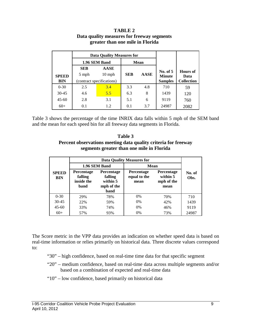|              |                                                 | <b>Data Quality Measures for</b> |            |             |                |                   |  |
|--------------|-------------------------------------------------|----------------------------------|------------|-------------|----------------|-------------------|--|
|              |                                                 | 1.96 SEM Band                    |            | <b>Mean</b> |                |                   |  |
|              | AASE<br><b>SEB</b><br>$10 \text{ mph}$<br>5 mph |                                  |            |             | No. of $5$     | Hours of          |  |
| <b>SPEED</b> |                                                 |                                  | <b>SEB</b> | <b>AASE</b> | <b>Minute</b>  | Data              |  |
| <b>BIN</b>   |                                                 | (contract specifications)        |            |             | <b>Samples</b> | <b>Collection</b> |  |
| $0 - 30$     | 2.5                                             | 3.4                              | 3.3        | 4.8         | 710            | 59                |  |
| $30-45$      | 4.6                                             | 5.5                              | 6.3        | 8           | 1439           | 120               |  |
| $45 - 60$    | 2.8                                             | 3.1                              | 5.1        | 6           | 9119           | 760               |  |
| $60+$        | 0.1                                             | 1.2.                             | 0.1        | 3.7         | 24987          | 2082              |  |

#### **TABLE 2 Data quality measures for freeway segments greater than one mile in Florida**

Table 3 shows the percentage of the time INRIX data falls within 5 mph of the SEM band and the mean for each speed bin for all freeway data segments in Florida.

**Table 3 Percent observations meeting data quality criteria for freeway segments greater than one mile in Florida**

|                            |                                                    |                                                                | <b>Data Quality Measures for</b>          |                                                     |                |
|----------------------------|----------------------------------------------------|----------------------------------------------------------------|-------------------------------------------|-----------------------------------------------------|----------------|
|                            |                                                    | 1.96 SEM Band                                                  | Mean                                      |                                                     |                |
| <b>SPEED</b><br><b>BIN</b> | <b>Percentage</b><br>falling<br>inside the<br>band | Percentage<br>falling<br>within 5<br>mph of the<br><b>band</b> | <b>Percentage</b><br>equal to the<br>mean | <b>Percentage</b><br>within 5<br>mph of the<br>mean | No. of<br>Obs. |
| $0 - 30$                   | 29%                                                | 78%                                                            | $0\%$                                     | 70%                                                 | 710            |
| $30 - 45$                  | 22%                                                | 59%                                                            | $0\%$                                     | 42%                                                 | 1439           |
| $45 - 60$                  | 33%<br>74%                                         |                                                                | $0\%$                                     | 46%                                                 | 9119           |
| $60+$                      | 57%                                                | 93%                                                            | 0%                                        | 73%                                                 | 24987          |

The Score metric in the VPP data provides an indication on whether speed data is based on real-time information or relies primarily on historical data. Three discrete values correspond to:

- "30" high confidence, based on real-time time data for that specific segment
- "20" medium confidence, based on real-time data across multiple segments and/or based on a combination of expected and real-time data
- "10" low confidence, based primarily on historical data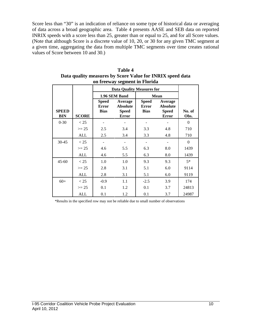Score less than "30" is an indication of reliance on some type of historical data or averaging of data across a broad geographic area. Table 4 presents AASE and SEB data on reported INRIX speeds with a score less than 25, greater than or equal to 25, and for all Score values. (Note that although Score is a discrete value of 10, 20, or 30 for any given TMC segment at a given time, aggregating the data from multiple TMC segments over time creates rational values of Score between 10 and 30.)

| on neeway segment in 1 fortua<br><b>Data Quality Measures for</b> |              |              |                 |              |                 |                |  |  |  |  |  |
|-------------------------------------------------------------------|--------------|--------------|-----------------|--------------|-----------------|----------------|--|--|--|--|--|
|                                                                   |              |              |                 |              |                 |                |  |  |  |  |  |
|                                                                   |              |              | 1.96 SEM Band   |              | Mean            |                |  |  |  |  |  |
|                                                                   |              | <b>Speed</b> | Average         | <b>Speed</b> | Average         |                |  |  |  |  |  |
|                                                                   |              | <b>Error</b> | <b>Absolute</b> | <b>Error</b> | <b>Absolute</b> |                |  |  |  |  |  |
| <b>SPEED</b>                                                      |              | <b>Bias</b>  | <b>Speed</b>    | <b>Bias</b>  | <b>Speed</b>    | No. of         |  |  |  |  |  |
| <b>BIN</b>                                                        | <b>SCORE</b> |              | <b>Error</b>    |              | <b>Error</b>    | Obs.           |  |  |  |  |  |
| $0 - 30$                                                          | < 25         |              |                 |              |                 | $\overline{0}$ |  |  |  |  |  |
|                                                                   | $>= 25$      | 2.5          | 3.4             | 3.3          | 4.8             | 710            |  |  |  |  |  |
|                                                                   | <b>ALL</b>   | 2.5          | 3.4             | 3.3          | 4.8             | 710            |  |  |  |  |  |
| 30-45                                                             | < 25         |              |                 |              |                 | $\Omega$       |  |  |  |  |  |
|                                                                   | $>= 25$      | 4.6          | 5.5             | 6.3          | 8.0             | 1439           |  |  |  |  |  |
|                                                                   | <b>ALL</b>   | 4.6          | 5.5             | 6.3          | 8.0             | 1439           |  |  |  |  |  |
| $45 - 60$                                                         | < 25         | 1.0          | 1.0             | 9.3          | 9.3             | $5*$           |  |  |  |  |  |
|                                                                   | $>= 25$      | 2.8          | 3.1             | 5.1          | 6.0             | 9114           |  |  |  |  |  |
|                                                                   | <b>ALL</b>   | 2.8          | 3.1             | 5.1          | 6.0             | 9119           |  |  |  |  |  |
| $60+$                                                             | < 25         | $-0.9$       | 1.1             | $-2.5$       | 3.9             | 174            |  |  |  |  |  |
|                                                                   | $>= 25$      | 0.1          | 1.2             | 0.1          | 3.7             | 24813          |  |  |  |  |  |
|                                                                   | ALL          | 0.1          | 1.2             | 0.1          | 3.7             | 24987          |  |  |  |  |  |

**Table 4 Data quality measures by Score Value for INRIX speed data on freeway segment in Florida**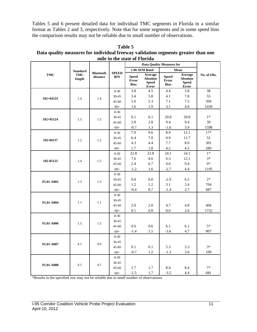Tables 5 and 6 present detailed data for individual TMC segments in Florida in a similar format as Tables 2 and 3, respectively. Note that for some segments and in some speed bins the comparison results may not be reliable due to small number of observations.

|                  |                                         |                              | ninë m më siatë vi i fortua |                                             | <b>Data Quality Measures for</b>                           |                                             |                                                            |             |
|------------------|-----------------------------------------|------------------------------|-----------------------------|---------------------------------------------|------------------------------------------------------------|---------------------------------------------|------------------------------------------------------------|-------------|
|                  |                                         |                              |                             |                                             | 1.96 SEM Band                                              |                                             | Mean                                                       |             |
| <b>TMC</b>       | <b>Standard</b><br><b>TMC</b><br>length | <b>Bluetooth</b><br>distance | <b>SPEED</b><br><b>BIN</b>  | <b>Speed</b><br><b>Error</b><br><b>Bias</b> | Average<br><b>Absolute</b><br><b>Speed</b><br><b>Error</b> | <b>Speed</b><br><b>Error</b><br><b>Bias</b> | Average<br><b>Absolute</b><br><b>Speed</b><br><b>Error</b> | No. of Obs. |
|                  |                                         |                              | $0 - 30$                    | 3.8                                         | 4.5                                                        | 4.4                                         | 5.8                                                        | 38          |
| $102 + 04133$    | 1.4                                     | 1.4                          | 30-45                       | 3.4                                         | 5.8                                                        | 4.1                                         | 7.8                                                        | 55          |
|                  |                                         |                              | $45 - 60$                   | 5.0                                         | 5.3                                                        | 7.1                                         | 7.5                                                        | 394         |
|                  |                                         |                              | $60+$                       | 1.6                                         | 1.9                                                        | 3.1                                         | 4.0                                                        | 1439        |
|                  |                                         |                              | $0 - 30$                    |                                             |                                                            |                                             |                                                            |             |
| $102 + 05124$    | 1.5                                     | 1.5                          | 30-45                       | 6.1                                         | 6.1                                                        | 20.8                                        | 20.8                                                       | $1*$        |
|                  |                                         |                              | $45 - 60$                   | 2.8                                         | 2.8                                                        | 9.4                                         | 9.4                                                        | 30          |
|                  |                                         |                              | $60+$                       | $-0.7$                                      | 1.3                                                        | $-1.6$                                      | 3.9                                                        | 1598        |
|                  |                                         |                              | $0 - 30$                    | 7.0                                         | 9.6                                                        | 8.9                                         | 12.1                                                       | $17*$       |
| 102-04137        | 1.2                                     | 1.2                          | 30-45                       | 6.4                                         | 7.0                                                        | 9.9                                         | 11.7                                                       | 52          |
|                  |                                         |                              | $45 - 60$                   | 4.3                                         | 4.4                                                        | 7.7                                         | 8.0                                                        | 301         |
|                  |                                         |                              | $60+$                       | 1.7                                         | 1.8                                                        | 4.2                                         | 4.5                                                        | 289         |
|                  |                                         |                              | $0 - 30$                    | 22.8                                        | 22.8                                                       | 24.1                                        | 24.1                                                       | $1*$        |
| 102-05123        | 1.4                                     | 1.5                          | 30-45                       | 7.6                                         | 8.6                                                        | 6.3                                         | 12.1                                                       | $3*$        |
|                  |                                         |                              | 45-60                       | 2.4                                         | 6.7                                                        | 4.6                                         | 9.4                                                        | $9*$        |
|                  |                                         |                              | $60+$                       | $-1.2$                                      | 1.6                                                        | $-2.7$                                      | 4.4                                                        | 1195        |
|                  | 1.3                                     | 1.3                          | $0 - 30$                    |                                             |                                                            |                                             |                                                            |             |
|                  |                                         |                              | 30-45                       | 0.0                                         | 0.0                                                        | $-2.9$                                      | 6.5                                                        | $2*$        |
| <b>FL01-A001</b> |                                         |                              | $45 - 60$                   | 1.2                                         | 1.2                                                        | 3.1                                         | 3.4                                                        | 704         |
|                  |                                         |                              | $60+$                       | $-0.4$                                      | 0.7                                                        | $-1.4$                                      | 2.7                                                        | 687         |
|                  |                                         |                              | $0 - 30$                    |                                             |                                                            |                                             |                                                            |             |
| FL01-A004        | 1.1                                     | 1.1                          | $30 - 45$                   |                                             |                                                            |                                             |                                                            |             |
|                  |                                         |                              | $45 - 60$                   | 2.0                                         | 2.0                                                        | 4.7                                         | 4.8                                                        | 404         |
|                  |                                         |                              | $60+$                       | 0.1                                         | 0.8                                                        | 0.0                                         | 2.6                                                        | 1752        |
|                  |                                         |                              | $0 - 30$                    |                                             |                                                            |                                             |                                                            |             |
| <b>FL01-A006</b> | 1.5                                     | 1.5                          | $30 - 45$                   |                                             |                                                            |                                             |                                                            |             |
|                  |                                         |                              | $45 - 60$                   | 0.6                                         | 0.6                                                        | 6.1                                         | 6.1                                                        | $5*$        |
|                  |                                         |                              | $60+$                       | $-1.4$                                      | 1.5                                                        | $-3.6$                                      | 4.7                                                        | 907         |
|                  |                                         |                              | $0 - 30$                    |                                             |                                                            |                                             |                                                            |             |
| FL01-A007        | 4.1                                     | 4.0                          | 30-45                       |                                             |                                                            |                                             |                                                            |             |
|                  |                                         |                              | 45-60                       | 0.1                                         | 0.1                                                        | 5.3                                         | 5.3                                                        | $3*$        |
|                  |                                         |                              | $60+$                       | $-0.7$                                      | 1.2                                                        | $-1.3$                                      | 3.6                                                        | 109         |
|                  |                                         |                              | $0 - 30$                    |                                             |                                                            |                                             |                                                            |             |
| <b>FL01-A008</b> | 4.1                                     | 4.1                          | 30-45                       |                                             |                                                            |                                             |                                                            |             |
|                  |                                         |                              | $45 - 60$                   | 1.7                                         | 1.7                                                        | 8.4                                         | 8.4                                                        | $7*$        |
|                  |                                         |                              | $60+$                       | $-1.5$                                      | 1.7                                                        | $-3.5$                                      | 4.4                                                        | 681         |

**Table 5 Data quality measures for individual freeway validation segments greater than one mile in the state of Florida**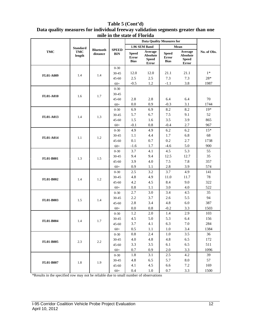|                  |                 |                              |                            |                                             | <b>Data Quality Measures for</b>                           |                                             |                                                     |             |
|------------------|-----------------|------------------------------|----------------------------|---------------------------------------------|------------------------------------------------------------|---------------------------------------------|-----------------------------------------------------|-------------|
|                  | <b>Standard</b> |                              |                            |                                             | 1.96 SEM Band                                              |                                             | Mean                                                |             |
| <b>TMC</b>       | TMC<br>length   | <b>Bluetooth</b><br>distance | <b>SPEED</b><br><b>BIN</b> | <b>Speed</b><br><b>Error</b><br><b>Bias</b> | Average<br><b>Absolute</b><br><b>Speed</b><br><b>Error</b> | <b>Speed</b><br><b>Error</b><br><b>Bias</b> | Average<br><b>Absolute</b><br><b>Speed</b><br>Error | No. of Obs. |
|                  |                 |                              | $0 - 30$                   |                                             |                                                            |                                             |                                                     |             |
| <b>FL01-A009</b> | 1.4             | 1.4                          | $30 - 45$                  | 12.0                                        | 12.0                                                       | 21.1                                        | 21.1                                                | $1*$        |
|                  |                 |                              | $45 - 60$                  | 2.5                                         | 2.5                                                        | 7.3                                         | 7.3                                                 | $28*$       |
|                  |                 |                              | $60+$                      | $-0.5$                                      | 1.2                                                        | $-1.1$                                      | 3.8                                                 | 1987        |
|                  |                 |                              | $0 - 30$                   |                                             |                                                            |                                             |                                                     |             |
| <b>FL01-A010</b> | 1.6             | 1.7                          | $30 - 45$                  |                                             |                                                            |                                             |                                                     |             |
|                  |                 |                              | $45 - 60$                  | 2.8                                         | 2.8                                                        | 6.4                                         | 6.4                                                 | 70          |
|                  |                 |                              | $60+$                      | 0.0                                         | 0.9                                                        | $-0.3$                                      | 3.1                                                 | 1744        |
|                  |                 |                              | $0 - 30$                   | 6.9                                         | 6.9                                                        | 8.2                                         | 8.2                                                 | $19*$       |
| FL01-A013        | 1.4             | 1.3                          | $30 - 45$                  | 5.7                                         | 6.7                                                        | 7.5                                         | 9.1                                                 | 52          |
|                  |                 |                              | $45 - 60$                  | 1.5                                         | 1.6                                                        | 3.5                                         | 3.9                                                 | 865         |
|                  |                 |                              | $60+$                      | $-0.1$                                      | 0.8                                                        | $-0.4$                                      | 2.7                                                 | 967         |
|                  |                 |                              | $0 - 30$                   | 4.9                                         | 4.9                                                        | 6.2                                         | 6.2                                                 | $15*$       |
| FL01-A014        | 1.1             | 1.2                          | $30 - 45$                  | 1.1                                         | 4.4                                                        | 1.7                                         | 6.8                                                 | 68          |
|                  |                 |                              | $45 - 60$                  | 0.1                                         | 0.7                                                        | 0.2                                         | 2.7                                                 | 1738        |
|                  |                 |                              | $60+$                      | $-1.6$                                      | 1.7                                                        | $-4.6$                                      | 5.0                                                 | 900         |
| <b>FL01-B001</b> |                 | 1.5                          | $0 - 30$                   | 3.7                                         | 4.1                                                        | 4.5                                         | 5.3                                                 | 55          |
|                  | 1.3             |                              | $30 - 45$                  | 9.4                                         | 9.4                                                        | 12.5                                        | 12.7                                                | 35          |
|                  |                 |                              | $45 - 60$<br>$60+$         | 3.9<br>0.9                                  | 4.0<br>1.1                                                 | 7.5<br>2.8                                  | 7.8<br>3.9                                          | 357<br>574  |
|                  |                 |                              | $0 - 30$                   | 2.5                                         | 3.2                                                        | 3.7                                         | 4.9                                                 | 141         |
|                  |                 |                              | $30 - 45$                  | 4.8                                         | 4.9                                                        | 11.0                                        | 11.7                                                | 78          |
| FL01-B002        | 1.4             | 1.2                          | $45 - 60$                  | 4.2                                         | 4.5                                                        | 8.4                                         | 9.0                                                 | 322         |
|                  |                 |                              | $60+$                      | 0.8                                         | 1.1                                                        | 3.0                                         | 4.0                                                 | 522         |
|                  |                 |                              | $0 - 30$                   | 2.7                                         | 3.0                                                        | 3.4                                         | 4.5                                                 | 35          |
|                  |                 |                              | $30 - 45$                  | 2.2                                         | 3.7                                                        | 2.6                                         | 5.5                                                 | 94          |
| FL01-B003        | 1.5             | 1.4                          | $45 - 60$                  | 2.8                                         | 3.4                                                        | 4.8                                         | 6.0                                                 | 387         |
|                  |                 |                              | $60+$                      | 0.0                                         | 0.8                                                        | $-0.2$                                      | 3.3                                                 | 1503        |
|                  |                 |                              | $0 - 30$                   | 1.2                                         | 2.0                                                        | 1.4                                         | 2.9                                                 | 103         |
|                  |                 |                              | $30 - 45$                  | 4.5                                         | 5.0                                                        | 5.3                                         | 6.4                                                 | 156         |
| <b>FL01-B004</b> | 1.4             | 1.7                          | $45 - 60$                  | 3.7                                         | 4.1                                                        | 6.3                                         | 7.0                                                 | 284         |
|                  |                 |                              | $60+$                      | 0.5                                         | 1.1                                                        | 1.0                                         | 3.4                                                 | 1384        |
|                  |                 |                              | $0 - 30$                   | 0.8                                         | 2.4                                                        | 1.0                                         | 3.5                                                 | 36          |
| FL01-B005        | 2.3             | 2.2                          | $30 - 45$                  | 4.0                                         | 4.8                                                        | 4.8                                         | 6.5                                                 | 172         |
|                  |                 |                              | $45 - 60$                  | 3.3                                         | 3.5                                                        | 6.1                                         | 6.5                                                 | 511         |
|                  |                 |                              | $60+$                      | 0.7                                         | 0.9                                                        | 2.0                                         | 3.3                                                 | 1096        |
|                  |                 |                              | $0 - 30$                   | 1.8                                         | 3.1                                                        | $2.5\,$                                     | 4.2                                                 | 39          |
| FL01-B007        | 1.8             | 1.9                          | $30 - 45$                  | 4.8                                         | 6.5                                                        | 5.7                                         | $8.0\,$                                             | 57          |
|                  |                 |                              | $45 - 60$                  | 4.1                                         | 4.5                                                        | 6.6                                         | 7.2                                                 | 169         |
|                  |                 |                              | $60+$                      | 0.4                                         | $1.0\,$                                                    | 0.7                                         | 3.3                                                 | 1500        |

#### **Table 5 (Cont'd) Data quality measures for individual freeway validation segments greater than one mile in the state of Florida**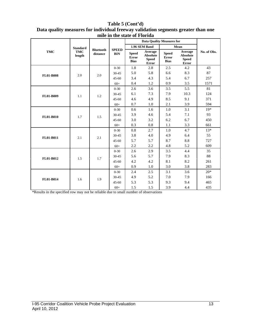|                  |                      |                              |                            |                                      | <b>Data Quality Measures for</b>                           |                                      |                                                     |             |
|------------------|----------------------|------------------------------|----------------------------|--------------------------------------|------------------------------------------------------------|--------------------------------------|-----------------------------------------------------|-------------|
|                  | <b>Standard</b>      |                              |                            |                                      | 1.96 SEM Band                                              |                                      | Mean                                                |             |
| <b>TMC</b>       | <b>TMC</b><br>length | <b>Bluetooth</b><br>distance | <b>SPEED</b><br><b>BIN</b> | <b>Speed</b><br>Error<br><b>Bias</b> | Average<br><b>Absolute</b><br><b>Speed</b><br><b>Error</b> | <b>Speed</b><br>Error<br><b>Bias</b> | Average<br><b>Absolute</b><br><b>Speed</b><br>Error | No. of Obs. |
|                  |                      |                              | $0 - 30$                   | 1.8                                  | 2.8                                                        | 2.5                                  | 4.2                                                 | 43          |
| <b>FL01-B008</b> | 2.0                  | 2.0                          | $30 - 45$                  | 5.0                                  | 5.8                                                        | 6.6                                  | 8.3                                                 | 87          |
|                  |                      |                              | $45 - 60$                  | 3.4                                  | 4.3                                                        | 5.4                                  | 6.7                                                 | 257         |
|                  |                      |                              | $60+$                      | 0.4                                  | 1.2                                                        | 0.9                                  | 3.5                                                 | 1571        |
|                  |                      |                              | $0 - 30$                   | 2.6                                  | 3.6                                                        | 3.5                                  | 5.5                                                 | 81          |
| FL01-B009        | 1.1                  | 1.2                          | $30 - 45$                  | 6.1                                  | 7.3                                                        | 7.9                                  | 10.3                                                | 124         |
|                  |                      |                              | $45 - 60$                  | 4.6                                  | 4.9                                                        | 8.5                                  | 9.1                                                 | 371         |
|                  |                      |                              | $60+$                      | 0.7                                  | 1.0                                                        | 2.1                                  | 3.9                                                 | 594         |
| <b>FL01-B010</b> |                      |                              | $0 - 30$                   | 0.6                                  | 1.6                                                        | 1.0                                  | 3.1                                                 | $19*$       |
|                  | 1.7                  | 1.5                          | $30 - 45$                  | 3.9                                  | 4.6                                                        | 5.4                                  | 7.1                                                 | 93          |
|                  |                      |                              | $45 - 60$                  | 3.0                                  | 3.2                                                        | 6.2                                  | 6.7                                                 | 450         |
|                  |                      |                              | $60+$                      | 0.3                                  | 0.8                                                        | 1.1                                  | 3.3                                                 | 661         |
|                  |                      |                              | $0 - 30$                   | 0.8                                  | 2.7                                                        | 1.0                                  | 4.7                                                 | $13*$       |
| FL01-B011        | 2.1                  | 2.1                          | $30 - 45$                  | 3.8                                  | 4.0                                                        | 4.9                                  | 6.4                                                 | 55          |
|                  |                      |                              | $45 - 60$                  | 5.7                                  | 5.7                                                        | 8.7                                  | 8.8                                                 | 727         |
|                  |                      |                              | $60+$                      | 2.2                                  | 2.2                                                        | 4.8                                  | 5.2                                                 | 609         |
|                  |                      |                              | $0 - 30$                   | 2.6                                  | 2.9                                                        | 3.5                                  | 4.4                                                 | 35          |
| FL01-B012        | 1.5                  | 1.7                          | $30 - 45$                  | 5.6                                  | 5.7                                                        | 7.9                                  | 8.3                                                 | 88          |
|                  |                      |                              | $45 - 60$                  | 4.2                                  | 4.2                                                        | 8.1                                  | 8.2                                                 | 261         |
|                  |                      |                              | $60+$                      | 0.9                                  | 1.0                                                        | 3.0                                  | 3.8                                                 | 283         |
|                  |                      |                              | $0 - 30$                   | 2.4                                  | 2.5                                                        | 3.1                                  | 3.6                                                 | $20*$       |
| FL01-B014        | 1.6                  | 1.9                          | $30 - 45$                  | 4.9                                  | 5.2                                                        | 7.0                                  | 7.9                                                 | 166         |
|                  |                      |                              | $45 - 60$                  | 5.3                                  | 5.3                                                        | 9.3                                  | 9.4                                                 | 465         |
|                  |                      |                              | $60+$                      | 1.5                                  | 1.5                                                        | 3.9                                  | 4.4                                                 | 435         |

#### **Table 5 (Cont'd) Data quality measures for individual freeway validation segments greater than one mile in the state of Florida**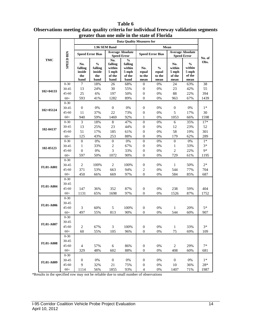|                  |                    | greater than one mile in the state of Florida<br><b>Data Quality Measures for</b> |                         |                         |                                               |                                  |                         |                         |                                               |           |  |  |
|------------------|--------------------|-----------------------------------------------------------------------------------|-------------------------|-------------------------|-----------------------------------------------|----------------------------------|-------------------------|-------------------------|-----------------------------------------------|-----------|--|--|
|                  |                    |                                                                                   |                         |                         |                                               |                                  |                         |                         |                                               |           |  |  |
|                  |                    |                                                                                   |                         | 1.96 SEM Band           |                                               |                                  |                         | Mean                    |                                               |           |  |  |
|                  | <b>SPEED BIN</b>   |                                                                                   | <b>Speed Error Bias</b> |                         | <b>Average Absolute</b><br><b>Speed Error</b> |                                  | <b>Speed Error Bias</b> |                         | <b>Average Absolute</b><br><b>Speed Error</b> |           |  |  |
| <b>TMC</b>       |                    |                                                                                   |                         | No.                     | $\frac{0}{0}$                                 |                                  |                         |                         |                                               | No. of    |  |  |
|                  |                    | No.                                                                               | $\frac{0}{0}$           | falling                 | falling                                       |                                  |                         | No.                     | $\frac{0}{0}$                                 | Obs.      |  |  |
|                  |                    | falling                                                                           | falling                 | within                  | within                                        | No.                              | $\%$                    | within                  | within                                        |           |  |  |
|                  |                    | inside<br>the                                                                     | inside<br>the           | 5 mph<br>of the         | 5 mph<br>of the                               | equal<br>to the                  | equal<br>to the         | 5 mph<br>of the         | 5 mph<br>of the                               |           |  |  |
|                  |                    | band                                                                              | band                    | band                    | band                                          | mean                             | mean                    | mean                    | mean                                          |           |  |  |
|                  | $0 - 30$           | 7                                                                                 | 18%                     | 26                      | 68%                                           | $\overline{0}$                   | 0%                      | 24                      | 63%                                           | 38        |  |  |
| $102 + 04133$    | 30-45              | 13                                                                                | 24%                     | 30                      | 55%                                           | $\mathbf{0}$                     | 0%                      | 23                      | 42%                                           | 55        |  |  |
|                  | $45 - 60$          | 25                                                                                | 6%                      | 197                     | 50%                                           | $\mathbf{0}$                     | 0%                      | 88                      | 22%                                           | 394       |  |  |
|                  | $60+$              | 593                                                                               | 41%                     | 1282                    | 89%                                           | $\overline{0}$                   | $0\%$                   | 963                     | 67%                                           | 1439      |  |  |
|                  | $0 - 30$           |                                                                                   |                         |                         |                                               |                                  |                         |                         |                                               |           |  |  |
| $102 + 05124$    | 30-45              | $\boldsymbol{0}$                                                                  | $0\%$                   | $\boldsymbol{0}$        | 0%                                            | $\mathbf{0}$                     | 0%                      | $\boldsymbol{0}$        | 0%                                            | $1*$      |  |  |
|                  | $45 - 60$          | 11                                                                                | 37%                     | 22                      | 73%                                           | $\mathbf{0}$                     | 0%                      | 5                       | 17%                                           | 30        |  |  |
|                  | $60+$              | 940                                                                               | 59%                     | 1469                    | 92%                                           | $\mathbf{1}$                     | 0%                      | 1053                    | 66%                                           | 1598      |  |  |
|                  | $0 - 30$           | 3                                                                                 | 18%                     | 8                       | 47%                                           | $\boldsymbol{0}$                 | $0\%$                   | 6                       | 35%                                           | $17*$     |  |  |
| 102-04137        | 30-45              | 13                                                                                | 25%                     | 23                      | 44%                                           | $\boldsymbol{0}$                 | 0%                      | 12                      | 23%                                           | 52<br>301 |  |  |
|                  | $45 - 60$<br>$60+$ | 51<br>125                                                                         | 17%                     | 185                     | 61%                                           | $\boldsymbol{0}$<br>$\mathbf{0}$ | 0%<br>0%                | 58                      | 19%                                           | 289       |  |  |
|                  | $0 - 30$           | $\boldsymbol{0}$                                                                  | 43%<br>$0\%$            | 253<br>$\boldsymbol{0}$ | 88%<br>0%                                     | $\mathbf{0}$                     | 0%                      | 179<br>$\boldsymbol{0}$ | 62%<br>0%                                     | $1*$      |  |  |
|                  | 30-45              | $\mathbf{1}$                                                                      | 33%                     | $\sqrt{2}$              | 67%                                           | $\mathbf{0}$                     | $0\%$                   | 1                       | 33%                                           | $3*$      |  |  |
| 102-05123        | $45 - 60$          | $\boldsymbol{0}$                                                                  | $0\%$                   | $\mathfrak{Z}$          | 33%                                           | $\mathbf{0}$                     | 0%                      | $\mathbf{2}$            | 22%                                           | $9*$      |  |  |
|                  | $60+$              | 597                                                                               | 50%                     | 1072                    | 90%                                           | $\overline{0}$                   | 0%                      | 729                     | 61%                                           | 1195      |  |  |
|                  | $0 - 30$           |                                                                                   |                         |                         |                                               |                                  |                         |                         |                                               |           |  |  |
|                  | 30-45              | $\overline{c}$                                                                    | 100%                    | $\mathbf{2}$            | 100%                                          | $\mathbf{0}$                     | 0%                      | $\mathbf{1}$            | 50%                                           | $2*$      |  |  |
| <b>FL01-A001</b> | $45 - 60$          | 371                                                                               | 53%                     | 663                     | 94%                                           | 2                                | 0%                      | 544                     | 77%                                           | 704       |  |  |
|                  | $60+$              | 450                                                                               | 66%                     | 669                     | 97%                                           | $\overline{0}$                   | 0%                      | 584                     | 85%                                           | 687       |  |  |
|                  | $0 - 30$           |                                                                                   |                         |                         |                                               |                                  |                         |                         |                                               |           |  |  |
|                  | 30-45              |                                                                                   |                         |                         |                                               |                                  |                         |                         |                                               |           |  |  |
| <b>FL01-A004</b> | $45 - 60$          | 147                                                                               | 36%                     | 352                     | 87%                                           | $\mathbf{0}$                     | $0\%$                   | 238                     | 59%                                           | 404       |  |  |
|                  | $60+$              | 1131                                                                              | 65%                     | 1698                    | 97%                                           | $\overline{0}$                   | 0%                      | 1526                    | 87%                                           | 1752      |  |  |
|                  | $0 - 30$           |                                                                                   |                         |                         |                                               |                                  |                         |                         |                                               |           |  |  |
| <b>FL01-A006</b> | 30-45              |                                                                                   |                         |                         |                                               |                                  |                         |                         |                                               |           |  |  |
|                  | $45 - 60$          | 3                                                                                 | 60%                     | 5                       | 100%                                          | $\boldsymbol{0}$                 | $0\%$                   | $\mathbf{1}$            | 20%                                           | $5*$      |  |  |
|                  | $60+$              | 497                                                                               | 55%                     | 813                     | 90%                                           | $\overline{0}$                   | 0%                      | 544                     | 60%                                           | 907       |  |  |
|                  | $0 - 30$           |                                                                                   |                         |                         |                                               |                                  |                         |                         |                                               |           |  |  |
| <b>FL01-A007</b> | 30-45              |                                                                                   |                         |                         |                                               |                                  |                         |                         |                                               |           |  |  |
|                  | $45 - 60$          | $\sqrt{2}$                                                                        | 67%                     | $\mathfrak{Z}$          | 100%                                          | $\boldsymbol{0}$                 | 0%                      | $\mathbf{1}$            | 33%                                           | $3*$      |  |  |
|                  | $60+$              | 60                                                                                | 55%                     | 105                     | 96%                                           | $\boldsymbol{0}$                 | $0\%$                   | 75                      | 69%                                           | 109       |  |  |
|                  | $0 - 30$           |                                                                                   |                         |                         |                                               |                                  |                         |                         |                                               |           |  |  |
| <b>FL01-A008</b> | 30-45              |                                                                                   |                         |                         |                                               |                                  |                         |                         |                                               |           |  |  |
|                  | $45 - 60$          | 4                                                                                 | 57%                     | $6\,$                   | 86%                                           | $\boldsymbol{0}$<br>$\mathbf{0}$ | 0%<br>0%                | $\mathbf{2}$            | 29%                                           | $7*$      |  |  |
|                  | $60+$<br>$0 - 30$  | 329                                                                               | 48%                     | 602                     | 88%                                           |                                  |                         | 408                     | 60%                                           | 681       |  |  |
|                  | 30-45              | $\mathbf{0}$                                                                      | 0%                      | $\boldsymbol{0}$        | $0\%$                                         | $\boldsymbol{0}$                 | 0%                      | $\boldsymbol{0}$        | 0%                                            | $1*$      |  |  |
| FL01-A009        | $45 - 60$          | 9                                                                                 | 32%                     | 21                      | 75%                                           | $\boldsymbol{0}$                 | 0%                      | 10                      | 36%                                           | $28\,^*$  |  |  |
|                  | $60+$              | 1114                                                                              | 56%                     | 1855                    | 93%                                           | 4                                | 0%                      | 1407                    | 71%                                           | 1987      |  |  |
|                  |                    |                                                                                   |                         |                         |                                               |                                  |                         |                         |                                               |           |  |  |

#### **Table 6 Observations meeting data quality criteria for individual freeway validation segments greater than one mile in the state of Florida**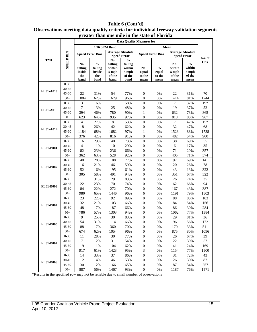#### **greater than one mile in the state of Florida Data Quality Measures for 1.96 SEM Band Mean Speed Error Bias Average Absolute Speed Error Speed Error Speed Error Bias Average Absolute SPEED BIN SPEED BIN Speed Error No. of TMC No.**   $\frac{6}{6}$ **Obs. falling falling**   $\frac{6}{6}$ **No. % No. falling falling % within within within within No. inside inside equal equal 5 mph 5 mph 5 mph 5 mph the the of the of the to the to the of the of the band band band band mean mean mean mean** 0-30 30-45 **FL01-A010** 45-60 22 31% 54 77% 0 0% 22 31% 70 60+ 1084 62% 1679 96% 0 0% 1414 81% 1744 0-30 3 16% 11 58% 0 0% 7 37% 19\* 30-45 7 13% 25 48% 0 0% 19 37% 52 **FL01-A013** 45-60 394 46% 780 90% 1 0% 632 73% 865 60+ 623 64% 935 97% 0 0% 818 85% 967 0-30 4 27% 8 53% 0 0% 7 47% 15\* 30-45 18 26% 42 62% 0 0% 32 47% 68 **FL01-A014** 45-60 1184 68% 1682 97% 1 0% 1523 88% 1738 60+ 376 42% 816 91% 0 0% 482 54% 900 0-30 16 29% 40 73% 0 0% 38 69% 55 30-45 4 11% 10 29% 0 0% 6 17% 35 **FL01-B001** 45-60 82 23% 236 66% 0 0% 71 20% 357 60+ 362 63% 528 92% 0 0% 405 71% 574 0-30 40 28% 108 77% 0 0% 97 69% 141 30-45 16 21% 46 59% 0 0% 20 26% 78 **FL01-B002** 45-60 52 16% 195 61% 0 0% 43 13% 322 60+ 305 58% 491 94% 0 0% 351 67% 522 0-30 11 31% 29 83% 0 0% 26 74% 35 30-45 22 23% 70 74% 0 0% 62 66% 94 **FL01-B003** 45-60 84 22% 272 70% 0 0% 167 43% 387 60+ 980 65% 1446 96% 6 0% 1191 79% 1503 0-30 23 22% 92 89% 0 0% 88 85% 103 30-45 32 21% 103 66% 0 0% 84 54% 156 **FL01-B004** 45-60 48 17% 187 66% 0 0% 86 30% 284 60+ 786 57% 1303 94% 0 0% 1062 77% 1384

0-30 9 25% 30 83% 0 0% 29 81% 36 30-45 54 31% 114 66% 0 0% 96 56% 172 45-60 88 17% 360 70% 0 0% 170 33% 511 60+ 674 62% 1054 96% 0 0% 875 80% 1096

0-30 11 28% 30 77% 0 0% 26 67% 39 30-45 7 12% 31 54% 0 0% 22 39% 57 45-60 19 11% 104 62% 0 0% 41 24% 169 60+ 917 61% 1423 95% 3 0% 1154 77% 1500

0-30 14 33% 37 86% 0 0% 31 72% 43 30-45 12 14% 46 53% 0 0% 26 30% 87 45-60 30 12% 166 65% 0 0% 87 34% 257 60+ 887 56% 1467 93% 0 0% 1187 76% 1571

### **Table 6 (Cont'd) Observations meeting data quality criteria for individual freeway validation segments**

\*Results in the specified row may not be reliable due to small number of observations

**FL01-B005**

**FL01-B007**

**FL01-B008**